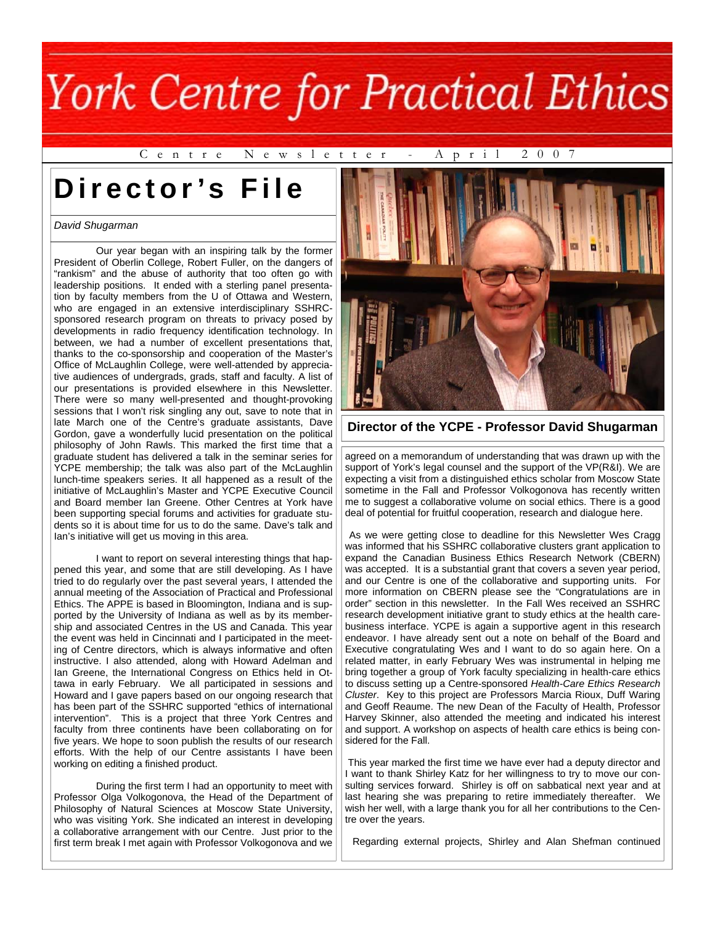C e n t r e N e w s l e t t e r - A p r i l 2 0 0 7

# **Director's File**

#### *David Shugarman*

 Our year began with an inspiring talk by the former President of Oberlin College, Robert Fuller, on the dangers of "rankism" and the abuse of authority that too often go with leadership positions. It ended with a sterling panel presentation by faculty members from the U of Ottawa and Western, who are engaged in an extensive interdisciplinary SSHRCsponsored research program on threats to privacy posed by developments in radio frequency identification technology. In between, we had a number of excellent presentations that, thanks to the co-sponsorship and cooperation of the Master's Office of McLaughlin College, were well-attended by appreciative audiences of undergrads, grads, staff and faculty. A list of our presentations is provided elsewhere in this Newsletter. There were so many well-presented and thought-provoking sessions that I won't risk singling any out, save to note that in late March one of the Centre's graduate assistants, Dave Gordon, gave a wonderfully lucid presentation on the political philosophy of John Rawls. This marked the first time that a graduate student has delivered a talk in the seminar series for YCPE membership; the talk was also part of the McLaughlin lunch-time speakers series. It all happened as a result of the initiative of McLaughlin's Master and YCPE Executive Council and Board member Ian Greene. Other Centres at York have been supporting special forums and activities for graduate students so it is about time for us to do the same. Dave's talk and Ian's initiative will get us moving in this area.

 I want to report on several interesting things that happened this year, and some that are still developing. As I have tried to do regularly over the past several years, I attended the annual meeting of the Association of Practical and Professional Ethics. The APPE is based in Bloomington, Indiana and is supported by the University of Indiana as well as by its membership and associated Centres in the US and Canada. This year the event was held in Cincinnati and I participated in the meeting of Centre directors, which is always informative and often instructive. I also attended, along with Howard Adelman and Ian Greene, the International Congress on Ethics held in Ottawa in early February. We all participated in sessions and Howard and I gave papers based on our ongoing research that has been part of the SSHRC supported "ethics of international intervention". This is a project that three York Centres and faculty from three continents have been collaborating on for five years. We hope to soon publish the results of our research efforts. With the help of our Centre assistants I have been working on editing a finished product.

 During the first term I had an opportunity to meet with Professor Olga Volkogonova, the Head of the Department of Philosophy of Natural Sciences at Moscow State University, who was visiting York. She indicated an interest in developing a collaborative arrangement with our Centre. Just prior to the first term break I met again with Professor Volkogonova and we



**Director of the YCPE - Professor David Shugarman** 

agreed on a memorandum of understanding that was drawn up with the support of York's legal counsel and the support of the VP(R&I). We are expecting a visit from a distinguished ethics scholar from Moscow State sometime in the Fall and Professor Volkogonova has recently written me to suggest a collaborative volume on social ethics. There is a good deal of potential for fruitful cooperation, research and dialogue here.

 As we were getting close to deadline for this Newsletter Wes Cragg was informed that his SSHRC collaborative clusters grant application to expand the Canadian Business Ethics Research Network (CBERN) was accepted. It is a substantial grant that covers a seven year period, and our Centre is one of the collaborative and supporting units. For more information on CBERN please see the "Congratulations are in order" section in this newsletter. In the Fall Wes received an SSHRC research development initiative grant to study ethics at the health carebusiness interface. YCPE is again a supportive agent in this research endeavor. I have already sent out a note on behalf of the Board and Executive congratulating Wes and I want to do so again here. On a related matter, in early February Wes was instrumental in helping me bring together a group of York faculty specializing in health-care ethics to discuss setting up a Centre-sponsored *Health-Care Ethics Research Cluster*. Key to this project are Professors Marcia Rioux, Duff Waring and Geoff Reaume. The new Dean of the Faculty of Health, Professor Harvey Skinner, also attended the meeting and indicated his interest and support. A workshop on aspects of health care ethics is being considered for the Fall.

 This year marked the first time we have ever had a deputy director and I want to thank Shirley Katz for her willingness to try to move our consulting services forward. Shirley is off on sabbatical next year and at last hearing she was preparing to retire immediately thereafter. We wish her well, with a large thank you for all her contributions to the Centre over the years.

Regarding external projects, Shirley and Alan Shefman continued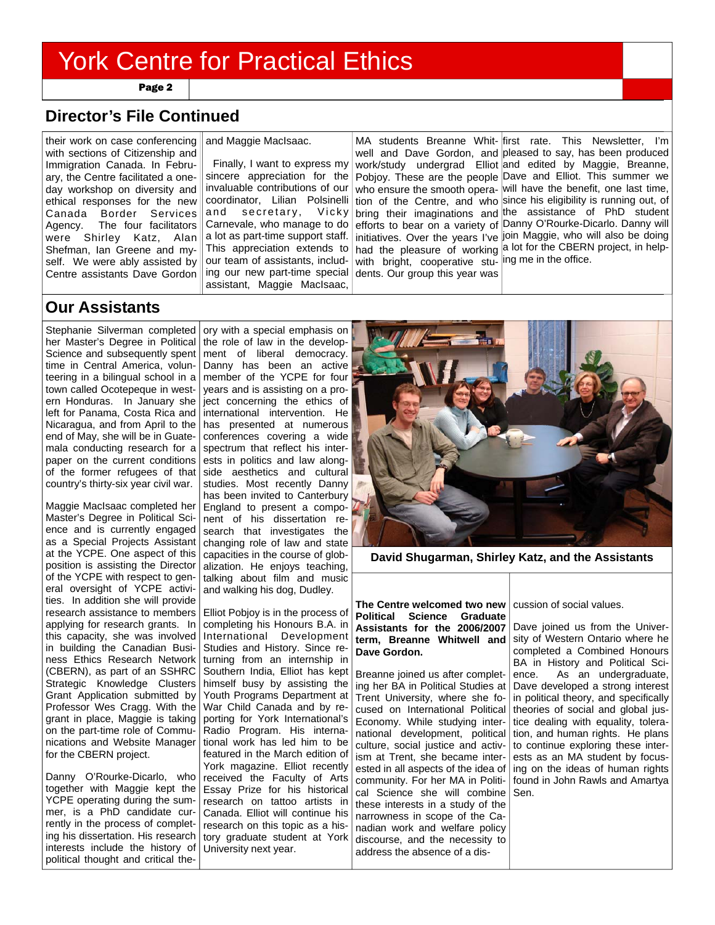Page 2

## **Director's File Continued**

their work on case conferencing with sections of Citizenship and Immigration Canada. In February, the Centre facilitated a oneday workshop on diversity and ethical responses for the new Canada Border Services Agency. The four facilitators were Shirley Katz, Alan Shefman, Ian Greene and myself. We were ably assisted by Centre assistants Dave Gordon

#### and Maggie MacIsaac.

 Finally, I want to express my sincere appreciation for the invaluable contributions of our coordinator, Lilian Polsinelli and secretary, Vicky Carnevale, who manage to do a lot as part-time support staff. This appreciation extends to our team of assistants, including our new part-time special assistant, Maggie MacIsaac,

with bright, cooperative stu- ing me in the office. dents. Our group this year was

MA students Breanne Whit- first rate. This Newsletter, I'm well and Dave Gordon, and pleased to say, has been produced work/study undergrad Elliot and edited by Maggie, Breanne, Pobjoy. These are the people Dave and Elliot. This summer we who ensure the smooth opera- will have the benefit, one last time, tion of the Centre, and who since his eligibility is running out, of bring their imaginations and the assistance of PhD student efforts to bear on a variety of Danny O'Rourke-Dicarlo. Danny will initiatives. Over the years I've join Maggie, who will also be doing had the pleasure of working a lot for the CBERN project, in help-

### **Our Assistants**

Stephanie Silverman completed her Master's Degree in Political Science and subsequently spent time in Central America, volunteering in a bilingual school in a town called Ocotepeque in western Honduras. In January she left for Panama, Costa Rica and Nicaragua, and from April to the end of May, she will be in Guatemala conducting research for a paper on the current conditions of the former refugees of that country's thirty-six year civil war.

Maggie MacIsaac completed her Master's Degree in Political Science and is currently engaged as a Special Projects Assistant at the YCPE. One aspect of this position is assisting the Director of the YCPE with respect to general oversight of YCPE activities. In addition she will provide research assistance to members applying for research grants. In this capacity, she was involved in building the Canadian Business Ethics Research Network (CBERN), as part of an SSHRC Strategic Knowledge Clusters Grant Application submitted by Professor Wes Cragg. With the grant in place, Maggie is taking on the part-time role of Communications and Website Manager for the CBERN project.

Danny O'Rourke-Dicarlo, who together with Maggie kept the YCPE operating during the summer, is a PhD candidate currently in the process of completing his dissertation. His research interests include the history of political thought and critical the-

ory with a special emphasis on the role of law in the development of liberal democracy. Danny has been an active member of the YCPE for four years and is assisting on a project concerning the ethics of international intervention. He has presented at numerous conferences covering a wide spectrum that reflect his interests in politics and law alongside aesthetics and cultural studies. Most recently Danny has been invited to Canterbury England to present a component of his dissertation research that investigates the changing role of law and state capacities in the course of globalization. He enjoys teaching, talking about film and music and walking his dog, Dudley.

Elliot Pobjoy is in the process of completing his Honours B.A. in International Development Studies and History. Since returning from an internship in Southern India, Elliot has kept himself busy by assisting the Youth Programs Department at War Child Canada and by reporting for York International's Radio Program. His international work has led him to be featured in the March edition of York magazine. Elliot recently received the Faculty of Arts Essay Prize for his historical research on tattoo artists in Canada. Elliot will continue his research on this topic as a history graduate student at York University next year.



**David Shugarman, Shirley Katz, and the Assistants** 

**The Centre welcomed two new Political Science Graduate Assistants for the 2006/2007 term, Breanne Whitwell and Dave Gordon.** 

Breanne joined us after completing her BA in Political Studies at Trent University, where she focused on International Political Economy. While studying international development, political culture, social justice and activism at Trent, she became interested in all aspects of the idea of community. For her MA in Political Science she will combine these interests in a study of the narrowness in scope of the Canadian work and welfare policy discourse, and the necessity to address the absence of a dis-

cussion of social values.

Dave joined us from the University of Western Ontario where he completed a Combined Honours BA in History and Political Science. As an undergraduate, Dave developed a strong interest in political theory, and specifically theories of social and global justice dealing with equality, toleration, and human rights. He plans to continue exploring these interests as an MA student by focusing on the ideas of human rights found in John Rawls and Amartya Sen.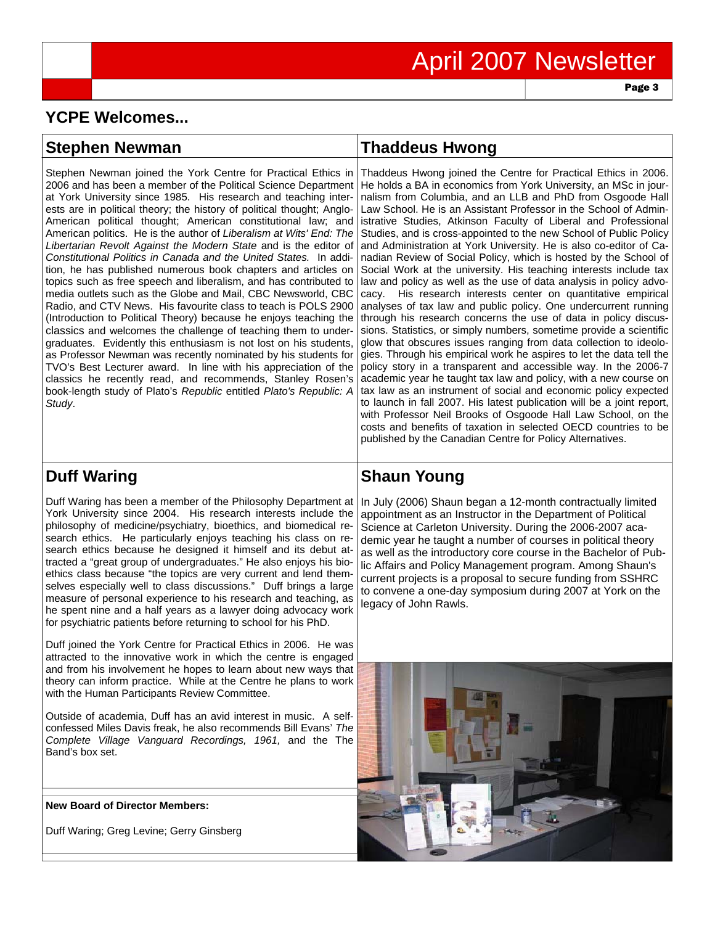Page 3

# **YCPE Welcomes...**

| <b>Stephen Newman</b>                                                                                                                                                                                                                                                                                                                                                                                                                                                                                                                                                                                                                                                                                                                                                                                                                                                                                                                                                                                                                                                                                                                                                                                                                                                                                                               | <b>Thaddeus Hwong</b>                                                                                                                                                                                                                                                                                                                                                                                                                                                                                                                                                                                                                                                                                                                                                                                                                                                                                                                                                                                                                                                                                                                                                                                                                                                                                                                                                                                                                                                                                                                                                                                              |
|-------------------------------------------------------------------------------------------------------------------------------------------------------------------------------------------------------------------------------------------------------------------------------------------------------------------------------------------------------------------------------------------------------------------------------------------------------------------------------------------------------------------------------------------------------------------------------------------------------------------------------------------------------------------------------------------------------------------------------------------------------------------------------------------------------------------------------------------------------------------------------------------------------------------------------------------------------------------------------------------------------------------------------------------------------------------------------------------------------------------------------------------------------------------------------------------------------------------------------------------------------------------------------------------------------------------------------------|--------------------------------------------------------------------------------------------------------------------------------------------------------------------------------------------------------------------------------------------------------------------------------------------------------------------------------------------------------------------------------------------------------------------------------------------------------------------------------------------------------------------------------------------------------------------------------------------------------------------------------------------------------------------------------------------------------------------------------------------------------------------------------------------------------------------------------------------------------------------------------------------------------------------------------------------------------------------------------------------------------------------------------------------------------------------------------------------------------------------------------------------------------------------------------------------------------------------------------------------------------------------------------------------------------------------------------------------------------------------------------------------------------------------------------------------------------------------------------------------------------------------------------------------------------------------------------------------------------------------|
| Stephen Newman joined the York Centre for Practical Ethics in<br>2006 and has been a member of the Political Science Department<br>at York University since 1985. His research and teaching inter-<br>ests are in political theory; the history of political thought; Anglo-<br>American political thought; American constitutional law; and<br>American politics. He is the author of Liberalism at Wits' End: The<br>Libertarian Revolt Against the Modern State and is the editor of<br>Constitutional Politics in Canada and the United States. In addi-<br>tion, he has published numerous book chapters and articles on<br>topics such as free speech and liberalism, and has contributed to<br>media outlets such as the Globe and Mail, CBC Newsworld, CBC<br>Radio, and CTV News. His favourite class to teach is POLS 2900<br>(Introduction to Political Theory) because he enjoys teaching the<br>classics and welcomes the challenge of teaching them to under-<br>graduates. Evidently this enthusiasm is not lost on his students,<br>as Professor Newman was recently nominated by his students for<br>TVO's Best Lecturer award. In line with his appreciation of the<br>classics he recently read, and recommends, Stanley Rosen's<br>book-length study of Plato's Republic entitled Plato's Republic: A<br>Study. | Thaddeus Hwong joined the Centre for Practical Ethics in 2006.<br>He holds a BA in economics from York University, an MSc in jour-<br>nalism from Columbia, and an LLB and PhD from Osgoode Hall<br>Law School. He is an Assistant Professor in the School of Admin-<br>istrative Studies, Atkinson Faculty of Liberal and Professional<br>Studies, and is cross-appointed to the new School of Public Policy<br>and Administration at York University. He is also co-editor of Ca-<br>nadian Review of Social Policy, which is hosted by the School of<br>Social Work at the university. His teaching interests include tax<br>law and policy as well as the use of data analysis in policy advo-<br>cacy. His research interests center on quantitative empirical<br>analyses of tax law and public policy. One undercurrent running<br>through his research concerns the use of data in policy discus-<br>sions. Statistics, or simply numbers, sometime provide a scientific<br>glow that obscures issues ranging from data collection to ideolo-<br>gies. Through his empirical work he aspires to let the data tell the<br>policy story in a transparent and accessible way. In the 2006-7<br>academic year he taught tax law and policy, with a new course on<br>tax law as an instrument of social and economic policy expected<br>to launch in fall 2007. His latest publication will be a joint report,<br>with Professor Neil Brooks of Osgoode Hall Law School, on the<br>costs and benefits of taxation in selected OECD countries to be<br>published by the Canadian Centre for Policy Alternatives. |

# **Duff Waring**

Duff Waring has been a member of the Philosophy Department at York University since 2004. His research interests include the philosophy of medicine/psychiatry, bioethics, and biomedical research ethics. He particularly enjoys teaching his class on research ethics because he designed it himself and its debut attracted a "great group of undergraduates." He also enjoys his bioethics class because "the topics are very current and lend themselves especially well to class discussions." Duff brings a large measure of personal experience to his research and teaching, as he spent nine and a half years as a lawyer doing advocacy work for psychiatric patients before returning to school for his PhD.

Duff joined the York Centre for Practical Ethics in 2006. He was attracted to the innovative work in which the centre is engaged and from his involvement he hopes to learn about new ways that theory can inform practice. While at the Centre he plans to work with the Human Participants Review Committee.

Outside of academia, Duff has an avid interest in music. A selfconfessed Miles Davis freak, he also recommends Bill Evans' *The Complete Village Vanguard Recordings, 1961,* and the The Band's box set.

#### **New Board of Director Members:**

Duff Waring; Greg Levine; Gerry Ginsberg

## **Shaun Young**

In July (2006) Shaun began a 12-month contractually limited appointment as an Instructor in the Department of Political Science at Carleton University. During the 2006-2007 academic year he taught a number of courses in political theory as well as the introductory core course in the Bachelor of Public Affairs and Policy Management program. Among Shaun's current projects is a proposal to secure funding from SSHRC to convene a one-day symposium during 2007 at York on the legacy of John Rawls.

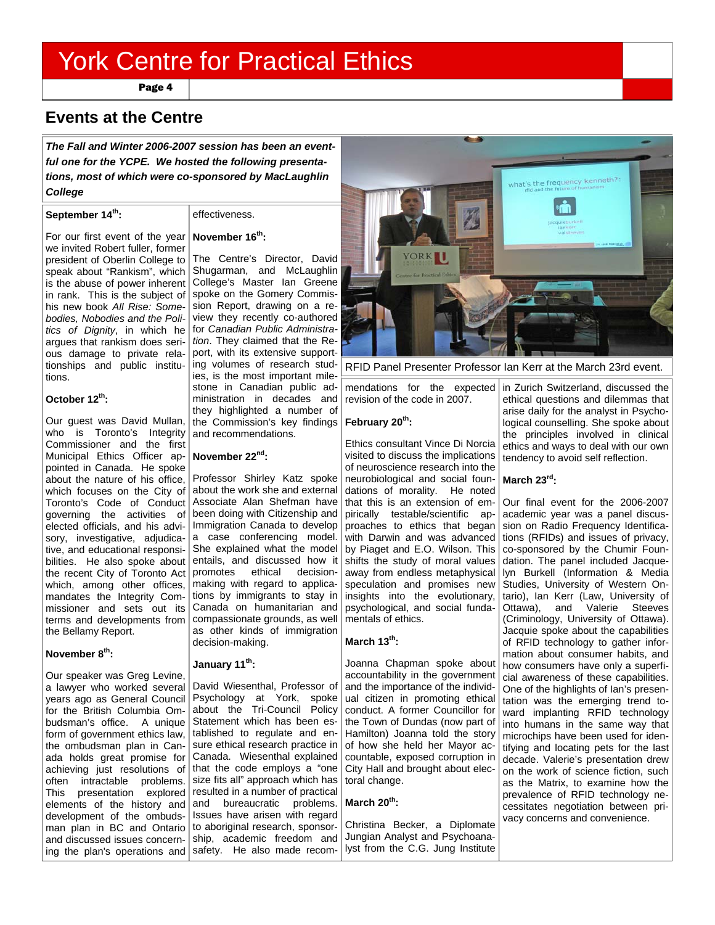Page 4

### **Events at the Centre**

*The Fall and Winter 2006-2007 session has been an eventful one for the YCPE. We hosted the following presentations, most of which were co-sponsored by MacLaughlin College* 

#### **September 14th:**

#### effectiveness.

#### **November 16th:**

For our first event of the year we invited Robert fuller, former president of Oberlin College to speak about "Rankism", which is the abuse of power inherent in rank. This is the subject of his new book *All Rise: Somebodies, Nobodies and the Politics of Dignity*, in which he argues that rankism does serious damage to private relationships and public institutions.

#### **October 12th:**

Our guest was David Mullan, who is Toronto's Integrity Commissioner and the first Municipal Ethics Officer appointed in Canada. He spoke about the nature of his office, which focuses on the City of Toronto's Code of Conduct governing the activities of elected officials, and his advisory, investigative, adjudicative, and educational responsibilities. He also spoke about the recent City of Toronto Act | promotes ethical decisionwhich, among other offices, mandates the Integrity Commissioner and sets out its terms and developments from the Bellamy Report.

#### **November 8th:**

Our speaker was Greg Levine, a lawyer who worked several years ago as General Council for the British Columbia Ombudsman's office. A unique form of government ethics law, the ombudsman plan in Canada holds great promise for achieving just resolutions of often intractable problems. development of the ombudsman plan in BC and Ontario and discussed issues concerning the plan's operations and

**February 20th:**  the Commission's key findings The Centre's Director, David Shugarman, and McLaughlin College's Master Ian Greene spoke on the Gomery Commission Report, drawing on a review they recently co-authored for *Canadian Public Administration*. They claimed that the Report, with its extensive supporting volumes of research studies, is the most important milestone in Canadian public administration in decades and they highlighted a number of and recommendations.

#### **November 22nd:**

Professor Shirley Katz spoke about the work she and external been doing with Citizenship and a case conferencing model. She explained what the model entails, and discussed how it making with regard to applications by immigrants to stay in Canada on humanitarian and compassionate grounds, as well as other kinds of immigration decision-making.

#### **January 11th:**

This presentation explored resulted in a number of practical elements of the history and and bureaucratic problems. David Wiesenthal, Professor of Psychology at York, spoke about the Tri-Council Policy Statement which has been established to regulate and ensure ethical research practice in Canada. Wiesenthal explained that the code employs a "one size fits all" approach which has Issues have arisen with regard to aboriginal research, sponsorship, academic freedom and safety. He also made recom-



RFID Panel Presenter Professor Ian Kerr at the March 23rd event.

mendations for the expected revision of the code in 2007.

Ethics consultant Vince Di Norcia visited to discuss the implications of neuroscience research into the neurobiological and social foundations of morality. He noted Associate Alan Shefman have that this is an extension of empirically testable/scientific ap-Immigration Canada to develop proaches to ethics that began with Darwin and was advanced by Piaget and E.O. Wilson. This shifts the study of moral values away from endless metaphysical speculation and promises new insights into the evolutionary, psychological, and social fundamentals of ethics.

#### **March 13th:**

Joanna Chapman spoke about accountability in the government and the importance of the individual citizen in promoting ethical conduct. A former Councillor for the Town of Dundas (now part of Hamilton) Joanna told the story of how she held her Mayor accountable, exposed corruption in City Hall and brought about electoral change.

#### **March 20th:**

Christina Becker, a Diplomate Jungian Analyst and Psychoanalyst from the C.G. Jung Institute in Zurich Switzerland, discussed the ethical questions and dilemmas that arise daily for the analyst in Psychological counselling. She spoke about the principles involved in clinical ethics and ways to deal with our own tendency to avoid self reflection.

#### **March 23rd:**

Our final event for the 2006-2007 academic year was a panel discussion on Radio Frequency Identifications (RFIDs) and issues of privacy, co-sponsored by the Chumir Foundation. The panel included Jacquelyn Burkell (Information & Media Studies, University of Western Ontario), Ian Kerr (Law, University of Ottawa), and Valerie Steeves (Criminology, University of Ottawa). Jacquie spoke about the capabilities of RFID technology to gather information about consumer habits, and how consumers have only a superficial awareness of these capabilities. One of the highlights of Ian's presentation was the emerging trend toward implanting RFID technology into humans in the same way that microchips have been used for identifying and locating pets for the last decade. Valerie's presentation drew on the work of science fiction, such as the Matrix, to examine how the prevalence of RFID technology necessitates negotiation between privacy concerns and convenience.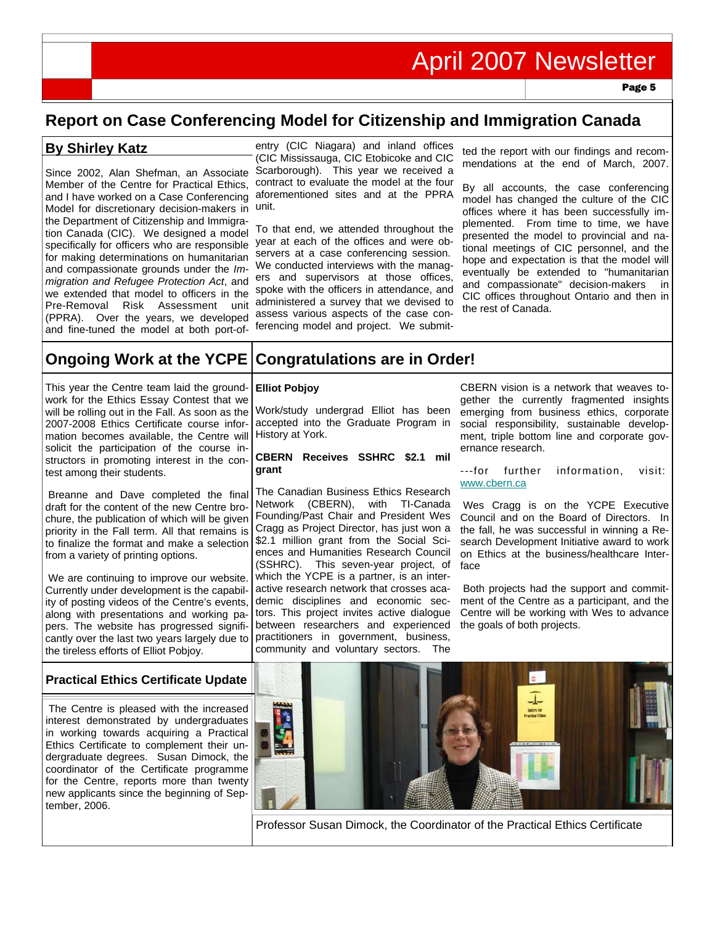# April 2007 Newsletter

Page 5

# **Report on Case Conferencing Model for Citizenship and Immigration Canada**

### **By Shirley Katz**

Since 2002, Alan Shefman, an Associate Member of the Centre for Practical Ethics, and I have worked on a Case Conferencing Model for discretionary decision-makers in unit. the Department of Citizenship and Immigration Canada (CIC). We designed a model specifically for officers who are responsible for making determinations on humanitarian and compassionate grounds under the *Immigration and Refugee Protection Act*, and we extended that model to officers in the Pre-Removal Risk Assessment unit (PPRA). Over the years, we developed and fine-tuned the model at both port-of-

entry (CIC Niagara) and inland offices (CIC Mississauga, CIC Etobicoke and CIC Scarborough). This year we received a contract to evaluate the model at the four aforementioned sites and at the PPRA

To that end, we attended throughout the year at each of the offices and were observers at a case conferencing session. We conducted interviews with the managers and supervisors at those offices, spoke with the officers in attendance, and administered a survey that we devised to assess various aspects of the case conferencing model and project. We submit-

ted the report with our findings and recommendations at the end of March, 2007.

By all accounts, the case conferencing model has changed the culture of the CIC offices where it has been successfully implemented. From time to time, we have presented the model to provincial and national meetings of CIC personnel, and the hope and expectation is that the model will eventually be extended to "humanitarian and compassionate" decision-makers in CIC offices throughout Ontario and then in the rest of Canada.

#### **Ongoing Work at the YCPE Congratulations are in Order!**

This year the Centre team laid the groundwork for the Ethics Essay Contest that we will be rolling out in the Fall. As soon as the 2007-2008 Ethics Certificate course information becomes available, the Centre will solicit the participation of the course instructors in promoting interest in the contest among their students.

 Breanne and Dave completed the final draft for the content of the new Centre brochure, the publication of which will be given priority in the Fall term. All that remains is to finalize the format and make a selection from a variety of printing options.

 We are continuing to improve our website. Currently under development is the capability of posting videos of the Centre's events, along with presentations and working papers. The website has progressed significantly over the last two years largely due to the tireless efforts of Elliot Pobjoy.

#### **Elliot Pobjoy**

Work/study undergrad Elliot has been accepted into the Graduate Program in History at York.

#### **CBERN Receives SSHRC \$2.1 mil grant**

The Canadian Business Ethics Research Network (CBERN), with TI-Canada Founding/Past Chair and President Wes Cragg as Project Director, has just won a \$2.1 million grant from the Social Sciences and Humanities Research Council (SSHRC). This seven-year project, of which the YCPE is a partner, is an interactive research network that crosses academic disciplines and economic sectors. This project invites active dialogue between researchers and experienced practitioners in government, business, community and voluntary sectors. The

CBERN vision is a network that weaves together the currently fragmented insights emerging from business ethics, corporate social responsibility, sustainable development, triple bottom line and corporate governance research.

---for further information, visit: www.cbern.ca

Wes Cragg is on the YCPE Executive Council and on the Board of Directors. In the fall, he was successful in winning a Research Development Initiative award to work on Ethics at the business/healthcare Interface

Both projects had the support and commitment of the Centre as a participant, and the Centre will be working with Wes to advance the goals of both projects.

#### **Practical Ethics Certificate Update**

 The Centre is pleased with the increased interest demonstrated by undergraduates in working towards acquiring a Practical Ethics Certificate to complement their undergraduate degrees. Susan Dimock, the coordinator of the Certificate programme for the Centre, reports more than twenty new applicants since the beginning of September, 2006.



Professor Susan Dimock, the Coordinator of the Practical Ethics Certificate